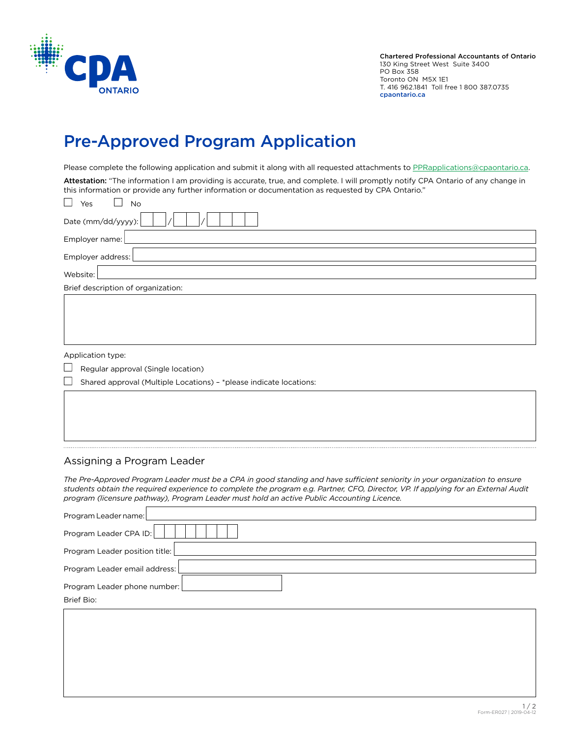

Chartered Professional Accountants of Ontario 130 King Street West Suite 3400 PO Box 358 Toronto ON M5X 1E1 T. 416 962.1841 Toll free 1 800 387.0735 cpaontario.ca

## Pre-Approved Program Application

Please complete the following application and submit it along with all requested attachments to [PPRapplications@cpaontario.ca.](mailto:PPRapplications%40cpaontario.ca?subject=Pre%20Approved%20Program%20Application)

Attestation: "The information I am providing is accurate, true, and complete. I will promptly notify CPA Ontario of any change in this information or provide any further information or documentation as requested by CPA Ontario."  $\Box$ 

| $\Box$<br>Yes<br>No                                                          |  |  |  |  |  |
|------------------------------------------------------------------------------|--|--|--|--|--|
| Date (mm/dd/yyyy):                                                           |  |  |  |  |  |
| Employer name:                                                               |  |  |  |  |  |
| Employer address:                                                            |  |  |  |  |  |
| Website:                                                                     |  |  |  |  |  |
| Brief description of organization:                                           |  |  |  |  |  |
|                                                                              |  |  |  |  |  |
|                                                                              |  |  |  |  |  |
|                                                                              |  |  |  |  |  |
|                                                                              |  |  |  |  |  |
| Application type:                                                            |  |  |  |  |  |
| $\overline{\mathcal{L}}$<br>Regular approval (Single location)               |  |  |  |  |  |
| $\Box$<br>Shared approval (Multiple Locations) - *please indicate locations: |  |  |  |  |  |
|                                                                              |  |  |  |  |  |

## Assigning a Program Leader

*The Pre-Approved Program Leader must be a CPA in good standing and have sufficient seniority in your organization to ensure students obtain the required experience to complete the program e.g. Partner, CFO, Director, VP. If applying for an External Audit program (licensure pathway), Program Leader must hold an active Public Accounting Licence.*

| Program Leader name:           |  |  |  |  |
|--------------------------------|--|--|--|--|
| Program Leader CPA ID:         |  |  |  |  |
| Program Leader position title: |  |  |  |  |
| Program Leader email address:  |  |  |  |  |
| Program Leader phone number:   |  |  |  |  |
| Brief Bio:                     |  |  |  |  |